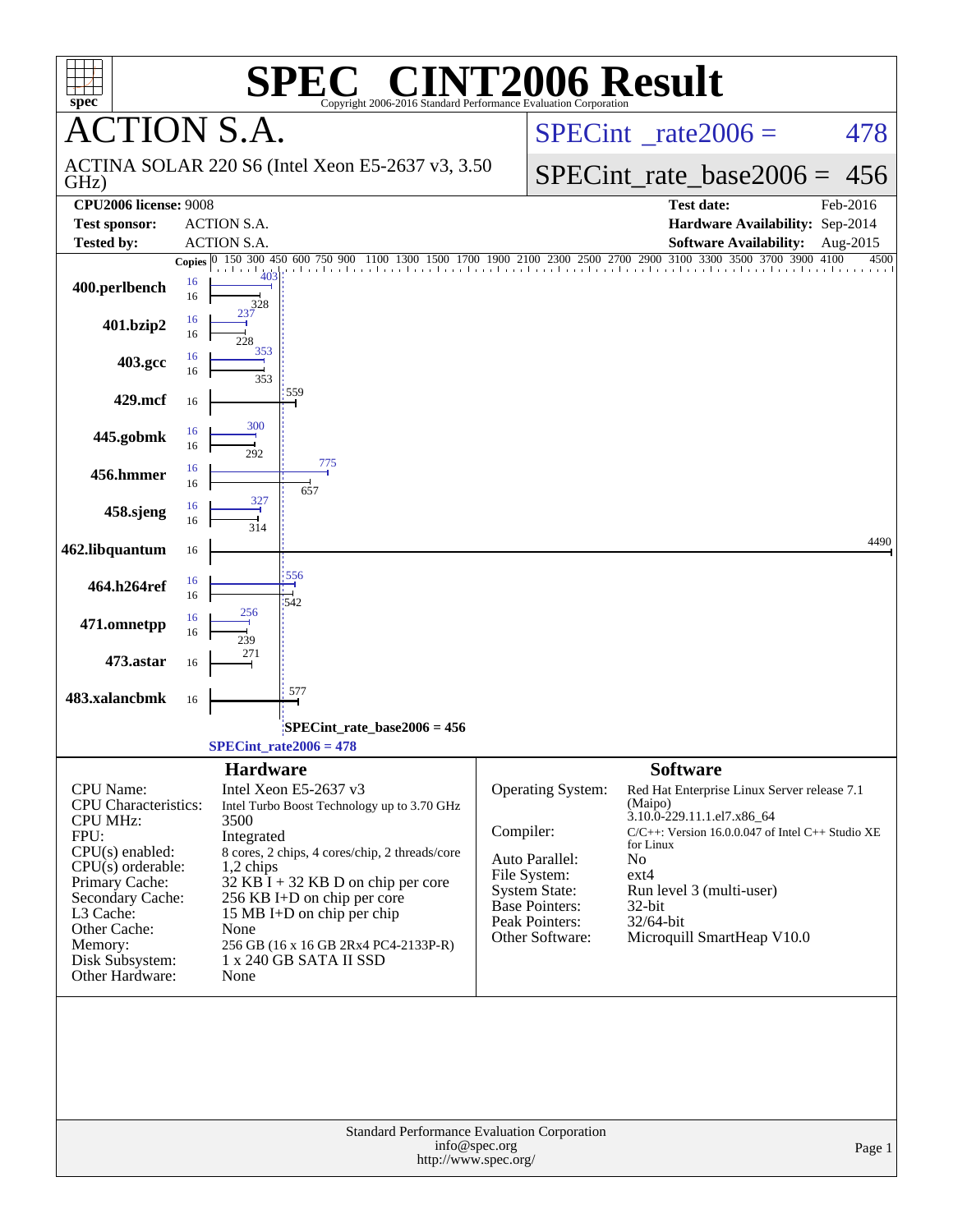| $spec^*$<br><b>CTION S.A.</b>                          | Copyright 2006-2016 Standard Performance Evaluation Corporation |                                                                                      |                                                                                                         |
|--------------------------------------------------------|-----------------------------------------------------------------|--------------------------------------------------------------------------------------|---------------------------------------------------------------------------------------------------------|
|                                                        |                                                                 |                                                                                      | $SPECint^{\circ}$ rate $2006 =$<br>478                                                                  |
| GHz)                                                   | ACTINA SOLAR 220 S6 (Intel Xeon E5-2637 v3, 3.50)               |                                                                                      | $SPECint$ rate base2006 =<br>456                                                                        |
| <b>CPU2006 license: 9008</b>                           |                                                                 |                                                                                      | <b>Test date:</b><br>Feb-2016                                                                           |
| <b>ACTION S.A.</b><br><b>Test sponsor:</b>             |                                                                 |                                                                                      | Hardware Availability: Sep-2014                                                                         |
| Tested by:<br><b>ACTION S.A.</b><br>Ю<br><b>Copies</b> |                                                                 |                                                                                      | <b>Software Availability:</b><br>Aug-2015<br>4500                                                       |
| 16<br>400.perlbench<br>16<br>328                       |                                                                 |                                                                                      | 150 300 450 600 750 900 1100 1300 1500 1700 1900 2100 2300 2500 2700 2900 3100 3300 3500 3700 3900 4100 |
| 16<br>401.bzip2<br>16                                  |                                                                 |                                                                                      |                                                                                                         |
| 353<br>16<br>403.gcc<br>16                             | 353                                                             |                                                                                      |                                                                                                         |
| 429.mcf<br>16                                          | 559                                                             |                                                                                      |                                                                                                         |
| 300<br>16<br>445.gobmk<br>16<br>292                    |                                                                 |                                                                                      |                                                                                                         |
| 16<br>456.hmmer<br>16                                  | 775<br>657                                                      |                                                                                      |                                                                                                         |
| 327<br>16<br>458.sjeng<br>16<br>314                    |                                                                 |                                                                                      |                                                                                                         |
| 462.libquantum<br>16                                   |                                                                 |                                                                                      | 4490                                                                                                    |
| 16<br>464.h264ref<br>16<br>256                         | 556<br>1542                                                     |                                                                                      |                                                                                                         |
| 16<br>471.omnetpp<br>16<br>239                         |                                                                 |                                                                                      |                                                                                                         |
| 271<br>473.astar<br>16                                 |                                                                 |                                                                                      |                                                                                                         |
| 483.xalancbmk<br>16                                    | 577                                                             |                                                                                      |                                                                                                         |
|                                                        | SPECint rate base $2006 = 456$<br>$SPECint_rate2006 = 478$      |                                                                                      |                                                                                                         |
|                                                        | <b>Hardware</b>                                                 |                                                                                      | <b>Software</b>                                                                                         |
| <b>CPU</b> Name:                                       | Intel Xeon E5-2637 v3                                           | Operating System:                                                                    | Red Hat Enterprise Linux Server release 7.1                                                             |
| <b>CPU</b> Characteristics:<br><b>CPU MHz:</b><br>3500 | Intel Turbo Boost Technology up to 3.70 GHz                     |                                                                                      | (Maipo)<br>3.10.0-229.11.1.el7.x86_64                                                                   |
| FPU:<br>Integrated                                     |                                                                 | Compiler:                                                                            | $C/C++$ : Version 16.0.0.047 of Intel $C++$ Studio XE<br>for Linux                                      |
| $CPU(s)$ enabled:<br>$CPU(s)$ orderable:<br>1,2 chips  | 8 cores, 2 chips, 4 cores/chip, 2 threads/core                  | Auto Parallel:                                                                       | No                                                                                                      |
| Primary Cache:                                         | $32$ KB I + 32 KB D on chip per core                            | File System:<br>System State:                                                        | $ext{4}$<br>Run level 3 (multi-user)                                                                    |
| Secondary Cache:<br>L3 Cache:                          | 256 KB I+D on chip per core<br>15 MB I+D on chip per chip       | Base Pointers:                                                                       | $32$ -bit                                                                                               |
| Other Cache:<br>None                                   |                                                                 | Peak Pointers:                                                                       | 32/64-bit                                                                                               |
| Memory:                                                | 256 GB (16 x 16 GB 2Rx4 PC4-2133P-R)                            | Other Software:                                                                      | Microquill SmartHeap V10.0                                                                              |
| Disk Subsystem:<br>Other Hardware:<br>None             | 1 x 240 GB SATA II SSD                                          |                                                                                      |                                                                                                         |
|                                                        |                                                                 |                                                                                      |                                                                                                         |
|                                                        |                                                                 | Standard Performance Evaluation Corporation<br>info@spec.org<br>http://www.spec.org/ | Page 1                                                                                                  |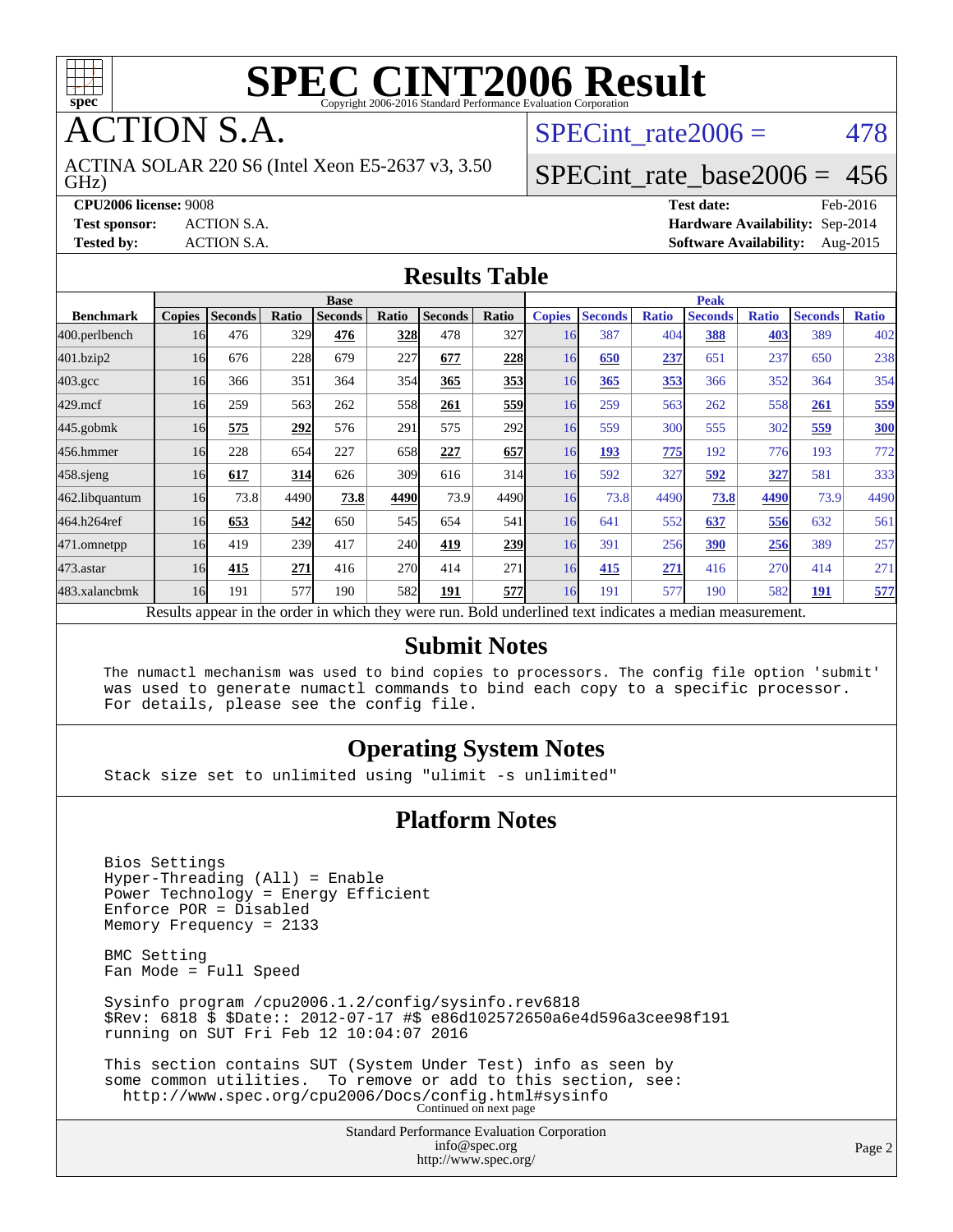

**TION S.A.** 

GHz) ACTINA SOLAR 220 S6 (Intel Xeon E5-2637 v3, 3.50 SPECint rate $2006 = 478$ 

### [SPECint\\_rate\\_base2006 =](http://www.spec.org/auto/cpu2006/Docs/result-fields.html#SPECintratebase2006) 456

**[CPU2006 license:](http://www.spec.org/auto/cpu2006/Docs/result-fields.html#CPU2006license)** 9008 **[Test date:](http://www.spec.org/auto/cpu2006/Docs/result-fields.html#Testdate)** Feb-2016 **[Test sponsor:](http://www.spec.org/auto/cpu2006/Docs/result-fields.html#Testsponsor)** ACTION S.A. **[Hardware Availability:](http://www.spec.org/auto/cpu2006/Docs/result-fields.html#HardwareAvailability)** Sep-2014 **[Tested by:](http://www.spec.org/auto/cpu2006/Docs/result-fields.html#Testedby)** ACTION S.A. **[Software Availability:](http://www.spec.org/auto/cpu2006/Docs/result-fields.html#SoftwareAvailability)** Aug-2015

#### **[Results Table](http://www.spec.org/auto/cpu2006/Docs/result-fields.html#ResultsTable)**

|                                                                                                          |               |                |       | <b>Base</b>    |            |                |       | <b>Peak</b>   |                |              |                |              |                |              |
|----------------------------------------------------------------------------------------------------------|---------------|----------------|-------|----------------|------------|----------------|-------|---------------|----------------|--------------|----------------|--------------|----------------|--------------|
| <b>Benchmark</b>                                                                                         | <b>Copies</b> | <b>Seconds</b> | Ratio | <b>Seconds</b> | Ratio      | <b>Seconds</b> | Ratio | <b>Copies</b> | <b>Seconds</b> | <b>Ratio</b> | <b>Seconds</b> | <b>Ratio</b> | <b>Seconds</b> | <b>Ratio</b> |
| 400.perlbench                                                                                            | 16            | 476            | 329   | 476            | 328        | 478            | 327   | 16            | 387            | 404          | 388            | 403          | 389            | 402          |
| 401.bzip2                                                                                                | 16            | 676            | 228   | 679            | 227        | 677            | 228   | 16            | 650            | 237          | 651            | 237          | 650            | 238          |
| $403.\mathrm{gcc}$                                                                                       | 16            | 366            | 351   | 364            | 354        | 365            | 353   | 16            | 365            | 353          | 366            | 352          | 364            | 354          |
| $429$ .mcf                                                                                               | 16            | 259            | 563   | 262            | 558        | 261            | 559   | 16            | 259            | 563          | 262            | 558          | 261            | 559          |
| $445$ .gobmk                                                                                             | 16            | 575            | 292   | 576            | 291        | 575            | 292   | 16            | 559            | 300          | 555            | 302          | 559            | <b>300</b>   |
| 456.hmmer                                                                                                | 16            | 228            | 654   | 227            | 658        | 227            | 657   | 16            | 193            | 775          | 192            | 776          | 193            | 772          |
| $458$ .sjeng                                                                                             | 16            | 617            | 314   | 626            | 309        | 616            | 314   | 16            | 592            | 327          | 592            | 327          | 581            | 333          |
| 462.libquantum                                                                                           | 16            | 73.8           | 4490  | 73.8           | 4490       | 73.9           | 4490  | 16            | 73.8           | 4490         | 73.8           | 4490         | 73.9           | 4490         |
| 464.h264ref                                                                                              | 16            | 653            | 542   | 650            | 545        | 654            | 541   | 16            | 641            | 552          | 637            | 556          | 632            | 561          |
| 471.omnetpp                                                                                              | 16            | 419            | 239   | 417            | <b>240</b> | 419            | 239   | 16            | 391            | 256          | 390            | 256          | 389            | 257          |
| 473.astar                                                                                                | 16            | 415            | 271   | 416            | <b>270</b> | 414            | 271   | 16            | 415            | 271          | 416            | 270          | 414            | 271          |
| 483.xalancbmk                                                                                            | 16            | 191            | 577   | 190            | 582        | 191            | 577   | 16            | 191            | 577          | 190            | 582          | 191            | 577          |
| Results appear in the order in which they were run. Bold underlined text indicates a median measurement. |               |                |       |                |            |                |       |               |                |              |                |              |                |              |

#### **[Submit Notes](http://www.spec.org/auto/cpu2006/Docs/result-fields.html#SubmitNotes)**

 The numactl mechanism was used to bind copies to processors. The config file option 'submit' was used to generate numactl commands to bind each copy to a specific processor. For details, please see the config file.

### **[Operating System Notes](http://www.spec.org/auto/cpu2006/Docs/result-fields.html#OperatingSystemNotes)**

Stack size set to unlimited using "ulimit -s unlimited"

#### **[Platform Notes](http://www.spec.org/auto/cpu2006/Docs/result-fields.html#PlatformNotes)**

 Bios Settings Hyper-Threading (All) = Enable Power Technology = Energy Efficient Enforce POR = Disabled Memory Frequency = 2133 BMC Setting Fan Mode = Full Speed Sysinfo program /cpu2006.1.2/config/sysinfo.rev6818 \$Rev: 6818 \$ \$Date:: 2012-07-17 #\$ e86d102572650a6e4d596a3cee98f191 running on SUT Fri Feb 12 10:04:07 2016 This section contains SUT (System Under Test) info as seen by some common utilities. To remove or add to this section, see: <http://www.spec.org/cpu2006/Docs/config.html#sysinfo> Continued on next page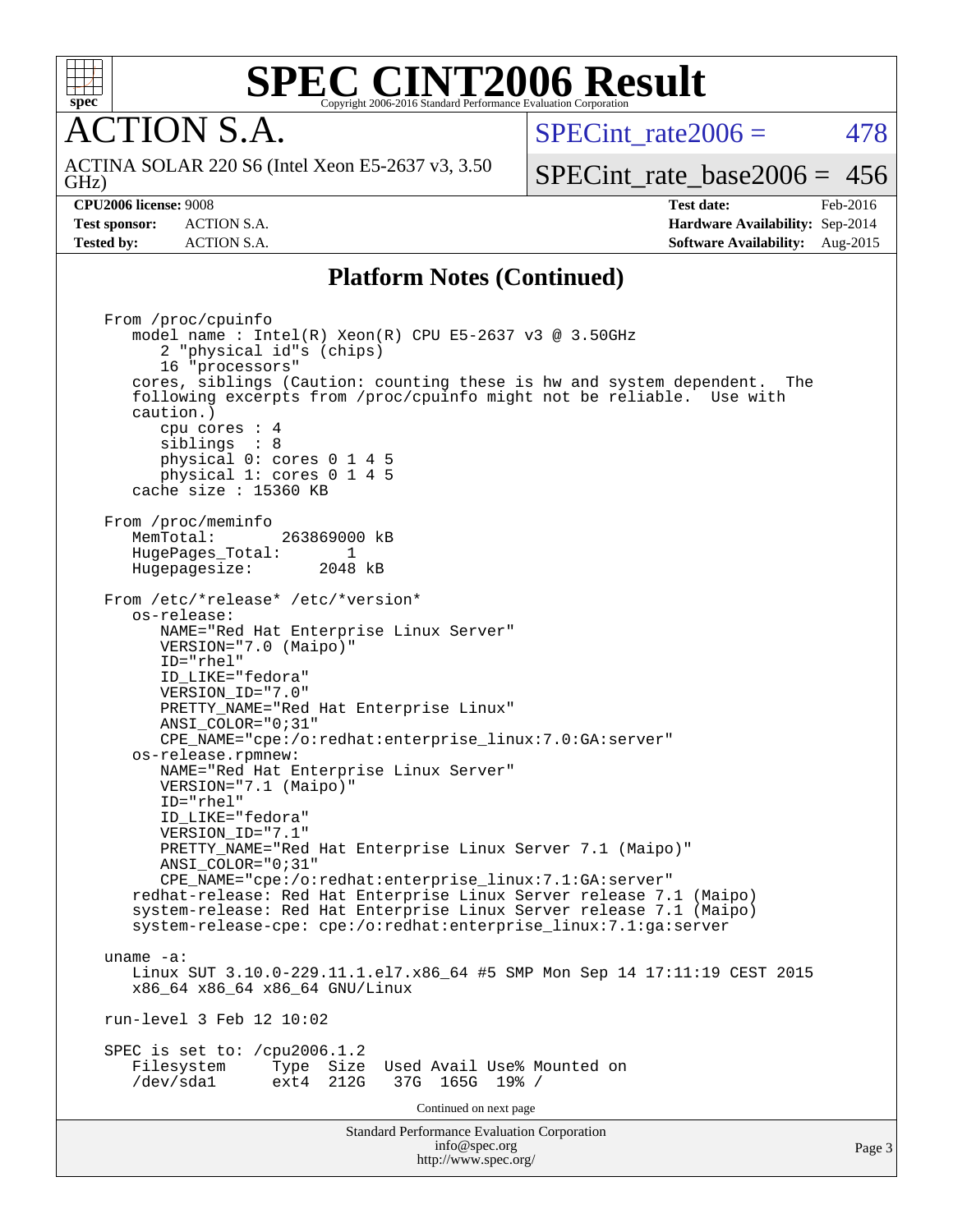

**CTION S.A.** 

 $SPECint rate2006 = 478$ 

GHz) ACTINA SOLAR 220 S6 (Intel Xeon E5-2637 v3, 3.50

[SPECint\\_rate\\_base2006 =](http://www.spec.org/auto/cpu2006/Docs/result-fields.html#SPECintratebase2006) 456

**[CPU2006 license:](http://www.spec.org/auto/cpu2006/Docs/result-fields.html#CPU2006license)** 9008 **[Test date:](http://www.spec.org/auto/cpu2006/Docs/result-fields.html#Testdate)** Feb-2016 **[Test sponsor:](http://www.spec.org/auto/cpu2006/Docs/result-fields.html#Testsponsor)** ACTION S.A. **[Hardware Availability:](http://www.spec.org/auto/cpu2006/Docs/result-fields.html#HardwareAvailability)** Sep-2014 **[Tested by:](http://www.spec.org/auto/cpu2006/Docs/result-fields.html#Testedby)** ACTION S.A. **[Software Availability:](http://www.spec.org/auto/cpu2006/Docs/result-fields.html#SoftwareAvailability)** Aug-2015

Page 3

### **[Platform Notes \(Continued\)](http://www.spec.org/auto/cpu2006/Docs/result-fields.html#PlatformNotes)**

Standard Performance Evaluation Corporation [info@spec.org](mailto:info@spec.org) From /proc/cpuinfo model name : Intel(R) Xeon(R) CPU E5-2637 v3 @ 3.50GHz 2 "physical id"s (chips) 16 "processors" cores, siblings (Caution: counting these is hw and system dependent. The following excerpts from /proc/cpuinfo might not be reliable. Use with caution.) cpu cores : 4 siblings : 8 physical 0: cores 0 1 4 5 physical 1: cores 0 1 4 5 cache size : 15360 KB From /proc/meminfo MemTotal: 263869000 kB<br>HugePages Total: 1 HugePages\_Total: 1 Hugepagesize: 2048 kB From /etc/\*release\* /etc/\*version\* os-release: NAME="Red Hat Enterprise Linux Server" VERSION="7.0 (Maipo)" ID="rhel" ID\_LIKE="fedora" VERSION\_ID="7.0" PRETTY\_NAME="Red Hat Enterprise Linux" ANSI\_COLOR="0;31" CPE\_NAME="cpe:/o:redhat:enterprise\_linux:7.0:GA:server" os-release.rpmnew: NAME="Red Hat Enterprise Linux Server" VERSION="7.1 (Maipo)" ID="rhel" ID\_LIKE="fedora" VERSION\_ID="7.1" PRETTY\_NAME="Red Hat Enterprise Linux Server 7.1 (Maipo)" ANSI\_COLOR="0;31" CPE\_NAME="cpe:/o:redhat:enterprise\_linux:7.1:GA:server" redhat-release: Red Hat Enterprise Linux Server release 7.1 (Maipo) system-release: Red Hat Enterprise Linux Server release 7.1 (Maipo) system-release-cpe: cpe:/o:redhat:enterprise\_linux:7.1:ga:server uname -a: Linux SUT 3.10.0-229.11.1.el7.x86\_64 #5 SMP Mon Sep 14 17:11:19 CEST 2015 x86\_64 x86\_64 x86\_64 GNU/Linux run-level 3 Feb 12 10:02 SPEC is set to: /cpu2006.1.2<br>Filesystem Type Size Type Size Used Avail Use% Mounted on<br>ext4 212G 37G 165G 19% / /dev/sda1 ext4 212G 37G 165G 19% / Continued on next page

<http://www.spec.org/>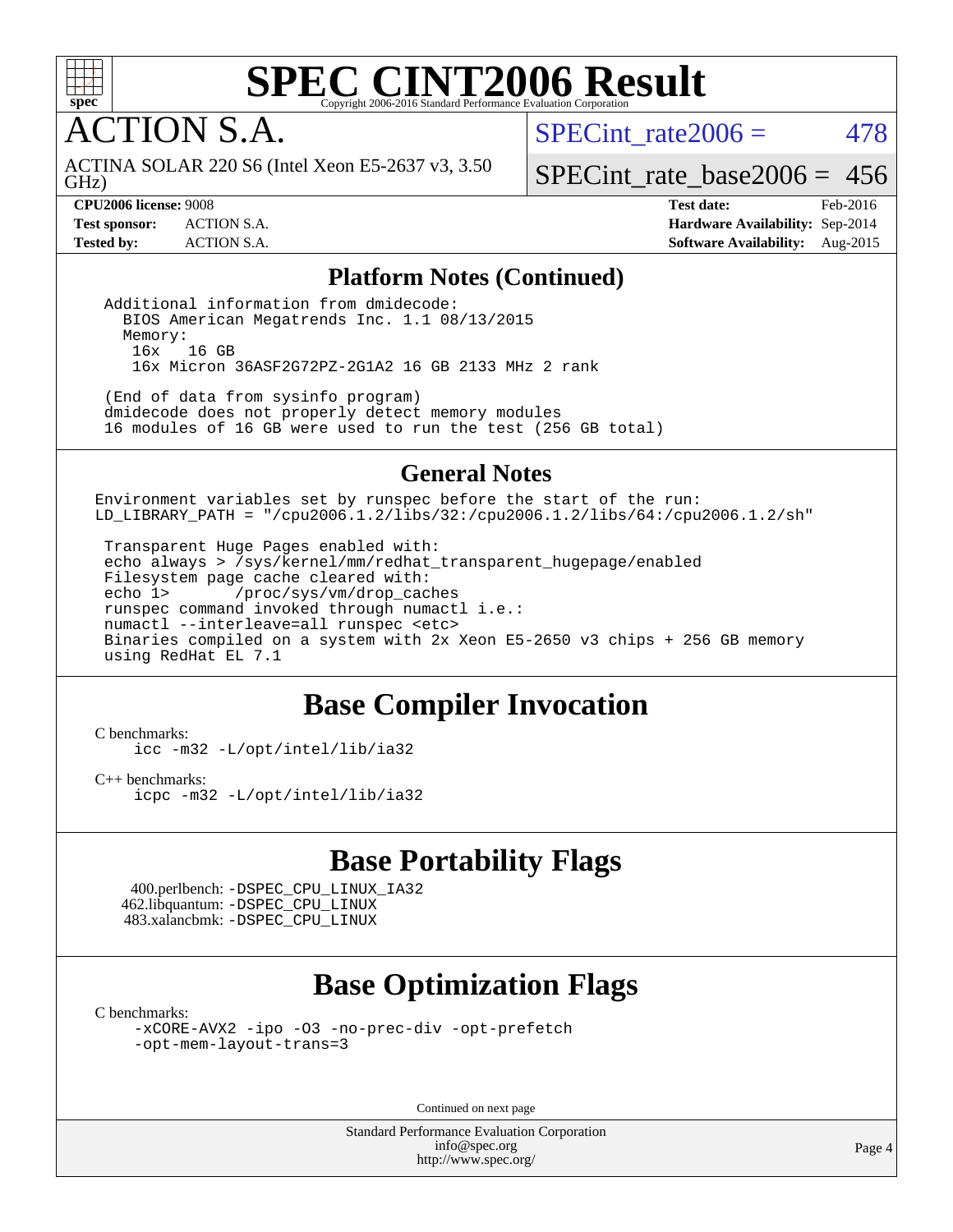

ACTION S.A.

SPECint rate $2006 = 478$ 

GHz) ACTINA SOLAR 220 S6 (Intel Xeon E5-2637 v3, 3.50

[SPECint\\_rate\\_base2006 =](http://www.spec.org/auto/cpu2006/Docs/result-fields.html#SPECintratebase2006) 456

**[CPU2006 license:](http://www.spec.org/auto/cpu2006/Docs/result-fields.html#CPU2006license)** 9008 **[Test date:](http://www.spec.org/auto/cpu2006/Docs/result-fields.html#Testdate)** Feb-2016 **[Test sponsor:](http://www.spec.org/auto/cpu2006/Docs/result-fields.html#Testsponsor)** ACTION S.A. **[Hardware Availability:](http://www.spec.org/auto/cpu2006/Docs/result-fields.html#HardwareAvailability)** Sep-2014 **[Tested by:](http://www.spec.org/auto/cpu2006/Docs/result-fields.html#Testedby)** ACTION S.A. **[Software Availability:](http://www.spec.org/auto/cpu2006/Docs/result-fields.html#SoftwareAvailability)** Aug-2015

### **[Platform Notes \(Continued\)](http://www.spec.org/auto/cpu2006/Docs/result-fields.html#PlatformNotes)**

 Additional information from dmidecode: BIOS American Megatrends Inc. 1.1 08/13/2015 Memory: 16x 16 GB 16x Micron 36ASF2G72PZ-2G1A2 16 GB 2133 MHz 2 rank

 (End of data from sysinfo program) dmidecode does not properly detect memory modules 16 modules of 16 GB were used to run the test (256 GB total)

### **[General Notes](http://www.spec.org/auto/cpu2006/Docs/result-fields.html#GeneralNotes)**

Environment variables set by runspec before the start of the run: LD\_LIBRARY\_PATH = "/cpu2006.1.2/libs/32:/cpu2006.1.2/libs/64:/cpu2006.1.2/sh"

 Transparent Huge Pages enabled with: echo always > /sys/kernel/mm/redhat\_transparent\_hugepage/enabled Filesystem page cache cleared with: echo 1> /proc/sys/vm/drop\_caches runspec command invoked through numactl i.e.: numactl --interleave=all runspec <etc> Binaries compiled on a system with 2x Xeon E5-2650 v3 chips + 256 GB memory using RedHat EL 7.1

## **[Base Compiler Invocation](http://www.spec.org/auto/cpu2006/Docs/result-fields.html#BaseCompilerInvocation)**

[C benchmarks](http://www.spec.org/auto/cpu2006/Docs/result-fields.html#Cbenchmarks):

[icc -m32 -L/opt/intel/lib/ia32](http://www.spec.org/cpu2006/results/res2016q1/cpu2006-20160215-39018.flags.html#user_CCbase_intel_icc_5b9b234ab5a48620dbff732649db9641)

[C++ benchmarks:](http://www.spec.org/auto/cpu2006/Docs/result-fields.html#CXXbenchmarks) [icpc -m32 -L/opt/intel/lib/ia32](http://www.spec.org/cpu2006/results/res2016q1/cpu2006-20160215-39018.flags.html#user_CXXbase_intel_icpc_01235b2dad29c0385d1e28a6a6b0d9cb)

## **[Base Portability Flags](http://www.spec.org/auto/cpu2006/Docs/result-fields.html#BasePortabilityFlags)**

 400.perlbench: [-DSPEC\\_CPU\\_LINUX\\_IA32](http://www.spec.org/cpu2006/results/res2016q1/cpu2006-20160215-39018.flags.html#b400.perlbench_baseCPORTABILITY_DSPEC_CPU_LINUX_IA32) 462.libquantum: [-DSPEC\\_CPU\\_LINUX](http://www.spec.org/cpu2006/results/res2016q1/cpu2006-20160215-39018.flags.html#b462.libquantum_baseCPORTABILITY_DSPEC_CPU_LINUX) 483.xalancbmk: [-DSPEC\\_CPU\\_LINUX](http://www.spec.org/cpu2006/results/res2016q1/cpu2006-20160215-39018.flags.html#b483.xalancbmk_baseCXXPORTABILITY_DSPEC_CPU_LINUX)

## **[Base Optimization Flags](http://www.spec.org/auto/cpu2006/Docs/result-fields.html#BaseOptimizationFlags)**

[C benchmarks](http://www.spec.org/auto/cpu2006/Docs/result-fields.html#Cbenchmarks):

[-xCORE-AVX2](http://www.spec.org/cpu2006/results/res2016q1/cpu2006-20160215-39018.flags.html#user_CCbase_f-xAVX2_5f5fc0cbe2c9f62c816d3e45806c70d7) [-ipo](http://www.spec.org/cpu2006/results/res2016q1/cpu2006-20160215-39018.flags.html#user_CCbase_f-ipo) [-O3](http://www.spec.org/cpu2006/results/res2016q1/cpu2006-20160215-39018.flags.html#user_CCbase_f-O3) [-no-prec-div](http://www.spec.org/cpu2006/results/res2016q1/cpu2006-20160215-39018.flags.html#user_CCbase_f-no-prec-div) [-opt-prefetch](http://www.spec.org/cpu2006/results/res2016q1/cpu2006-20160215-39018.flags.html#user_CCbase_f-opt-prefetch) [-opt-mem-layout-trans=3](http://www.spec.org/cpu2006/results/res2016q1/cpu2006-20160215-39018.flags.html#user_CCbase_f-opt-mem-layout-trans_a7b82ad4bd7abf52556d4961a2ae94d5)

Continued on next page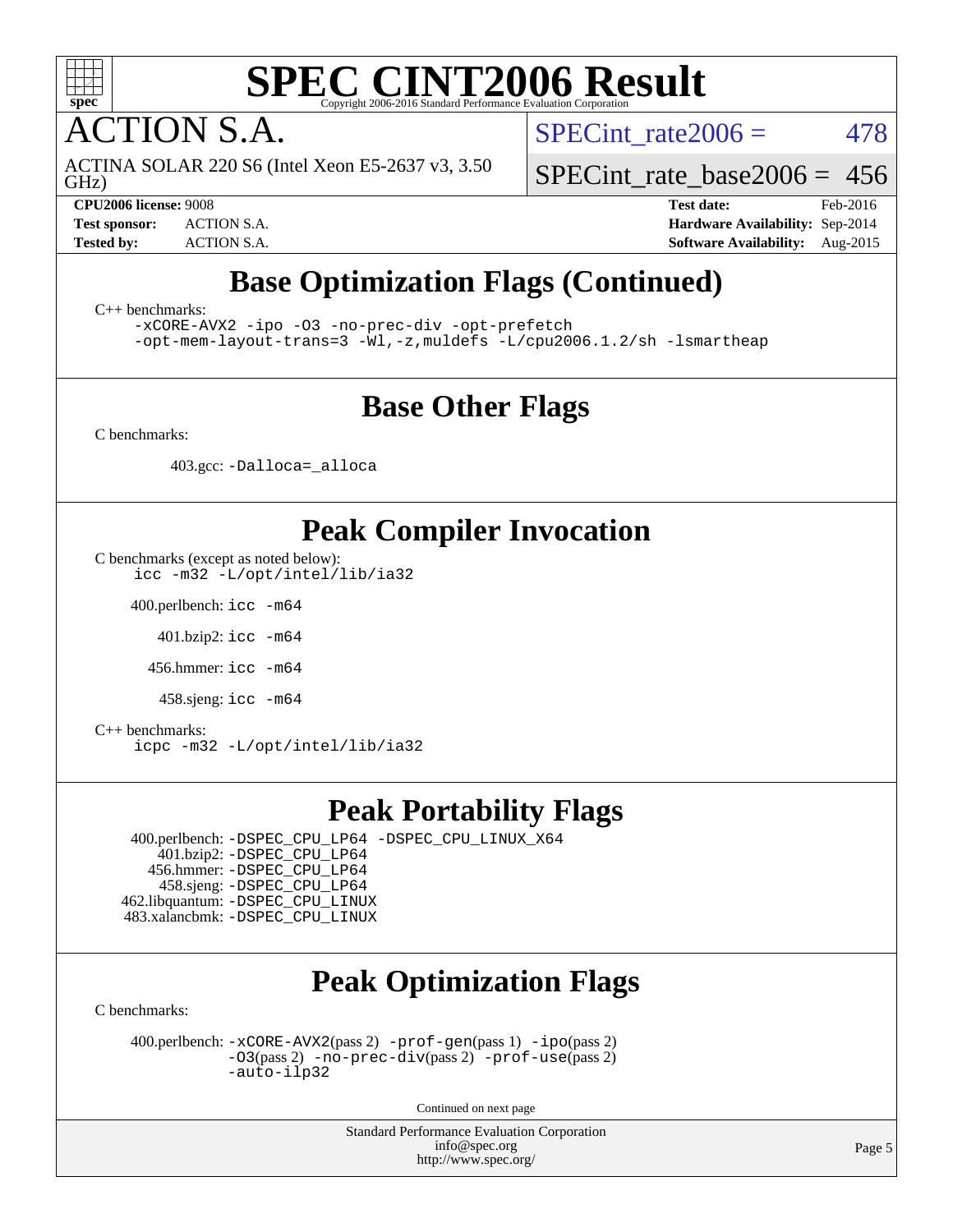

**CTION S.A.** 

GHz) ACTINA SOLAR 220 S6 (Intel Xeon E5-2637 v3, 3.50 SPECint rate $2006 = 478$ 

[SPECint\\_rate\\_base2006 =](http://www.spec.org/auto/cpu2006/Docs/result-fields.html#SPECintratebase2006) 456

**[CPU2006 license:](http://www.spec.org/auto/cpu2006/Docs/result-fields.html#CPU2006license)** 9008 **[Test date:](http://www.spec.org/auto/cpu2006/Docs/result-fields.html#Testdate)** Feb-2016 **[Test sponsor:](http://www.spec.org/auto/cpu2006/Docs/result-fields.html#Testsponsor)** ACTION S.A. **[Hardware Availability:](http://www.spec.org/auto/cpu2006/Docs/result-fields.html#HardwareAvailability)** Sep-2014 **[Tested by:](http://www.spec.org/auto/cpu2006/Docs/result-fields.html#Testedby)** ACTION S.A. **[Software Availability:](http://www.spec.org/auto/cpu2006/Docs/result-fields.html#SoftwareAvailability)** Aug-2015

## **[Base Optimization Flags \(Continued\)](http://www.spec.org/auto/cpu2006/Docs/result-fields.html#BaseOptimizationFlags)**

[C++ benchmarks:](http://www.spec.org/auto/cpu2006/Docs/result-fields.html#CXXbenchmarks)

[-xCORE-AVX2](http://www.spec.org/cpu2006/results/res2016q1/cpu2006-20160215-39018.flags.html#user_CXXbase_f-xAVX2_5f5fc0cbe2c9f62c816d3e45806c70d7) [-ipo](http://www.spec.org/cpu2006/results/res2016q1/cpu2006-20160215-39018.flags.html#user_CXXbase_f-ipo) [-O3](http://www.spec.org/cpu2006/results/res2016q1/cpu2006-20160215-39018.flags.html#user_CXXbase_f-O3) [-no-prec-div](http://www.spec.org/cpu2006/results/res2016q1/cpu2006-20160215-39018.flags.html#user_CXXbase_f-no-prec-div) [-opt-prefetch](http://www.spec.org/cpu2006/results/res2016q1/cpu2006-20160215-39018.flags.html#user_CXXbase_f-opt-prefetch)

[-opt-mem-layout-trans=3](http://www.spec.org/cpu2006/results/res2016q1/cpu2006-20160215-39018.flags.html#user_CXXbase_f-opt-mem-layout-trans_a7b82ad4bd7abf52556d4961a2ae94d5) [-Wl,-z,muldefs](http://www.spec.org/cpu2006/results/res2016q1/cpu2006-20160215-39018.flags.html#user_CXXbase_link_force_multiple1_74079c344b956b9658436fd1b6dd3a8a) [-L/cpu2006.1.2/sh -lsmartheap](http://www.spec.org/cpu2006/results/res2016q1/cpu2006-20160215-39018.flags.html#user_CXXbase_SmartHeap_bfa5b22c0e716eb2d3a2496ec83a2e29)

## **[Base Other Flags](http://www.spec.org/auto/cpu2006/Docs/result-fields.html#BaseOtherFlags)**

[C benchmarks](http://www.spec.org/auto/cpu2006/Docs/result-fields.html#Cbenchmarks):

403.gcc: [-Dalloca=\\_alloca](http://www.spec.org/cpu2006/results/res2016q1/cpu2006-20160215-39018.flags.html#b403.gcc_baseEXTRA_CFLAGS_Dalloca_be3056838c12de2578596ca5467af7f3)

## **[Peak Compiler Invocation](http://www.spec.org/auto/cpu2006/Docs/result-fields.html#PeakCompilerInvocation)**

[C benchmarks \(except as noted below\)](http://www.spec.org/auto/cpu2006/Docs/result-fields.html#Cbenchmarksexceptasnotedbelow): [icc -m32 -L/opt/intel/lib/ia32](http://www.spec.org/cpu2006/results/res2016q1/cpu2006-20160215-39018.flags.html#user_CCpeak_intel_icc_5b9b234ab5a48620dbff732649db9641)

400.perlbench: [icc -m64](http://www.spec.org/cpu2006/results/res2016q1/cpu2006-20160215-39018.flags.html#user_peakCCLD400_perlbench_intel_icc_64bit_bda6cc9af1fdbb0edc3795bac97ada53)

401.bzip2: [icc -m64](http://www.spec.org/cpu2006/results/res2016q1/cpu2006-20160215-39018.flags.html#user_peakCCLD401_bzip2_intel_icc_64bit_bda6cc9af1fdbb0edc3795bac97ada53)

456.hmmer: [icc -m64](http://www.spec.org/cpu2006/results/res2016q1/cpu2006-20160215-39018.flags.html#user_peakCCLD456_hmmer_intel_icc_64bit_bda6cc9af1fdbb0edc3795bac97ada53)

458.sjeng: [icc -m64](http://www.spec.org/cpu2006/results/res2016q1/cpu2006-20160215-39018.flags.html#user_peakCCLD458_sjeng_intel_icc_64bit_bda6cc9af1fdbb0edc3795bac97ada53)

[C++ benchmarks:](http://www.spec.org/auto/cpu2006/Docs/result-fields.html#CXXbenchmarks) [icpc -m32 -L/opt/intel/lib/ia32](http://www.spec.org/cpu2006/results/res2016q1/cpu2006-20160215-39018.flags.html#user_CXXpeak_intel_icpc_01235b2dad29c0385d1e28a6a6b0d9cb)

## **[Peak Portability Flags](http://www.spec.org/auto/cpu2006/Docs/result-fields.html#PeakPortabilityFlags)**

 400.perlbench: [-DSPEC\\_CPU\\_LP64](http://www.spec.org/cpu2006/results/res2016q1/cpu2006-20160215-39018.flags.html#b400.perlbench_peakCPORTABILITY_DSPEC_CPU_LP64) [-DSPEC\\_CPU\\_LINUX\\_X64](http://www.spec.org/cpu2006/results/res2016q1/cpu2006-20160215-39018.flags.html#b400.perlbench_peakCPORTABILITY_DSPEC_CPU_LINUX_X64) 401.bzip2: [-DSPEC\\_CPU\\_LP64](http://www.spec.org/cpu2006/results/res2016q1/cpu2006-20160215-39018.flags.html#suite_peakCPORTABILITY401_bzip2_DSPEC_CPU_LP64) 456.hmmer: [-DSPEC\\_CPU\\_LP64](http://www.spec.org/cpu2006/results/res2016q1/cpu2006-20160215-39018.flags.html#suite_peakCPORTABILITY456_hmmer_DSPEC_CPU_LP64) 458.sjeng: [-DSPEC\\_CPU\\_LP64](http://www.spec.org/cpu2006/results/res2016q1/cpu2006-20160215-39018.flags.html#suite_peakCPORTABILITY458_sjeng_DSPEC_CPU_LP64) 462.libquantum: [-DSPEC\\_CPU\\_LINUX](http://www.spec.org/cpu2006/results/res2016q1/cpu2006-20160215-39018.flags.html#b462.libquantum_peakCPORTABILITY_DSPEC_CPU_LINUX) 483.xalancbmk: [-DSPEC\\_CPU\\_LINUX](http://www.spec.org/cpu2006/results/res2016q1/cpu2006-20160215-39018.flags.html#b483.xalancbmk_peakCXXPORTABILITY_DSPEC_CPU_LINUX)

## **[Peak Optimization Flags](http://www.spec.org/auto/cpu2006/Docs/result-fields.html#PeakOptimizationFlags)**

[C benchmarks](http://www.spec.org/auto/cpu2006/Docs/result-fields.html#Cbenchmarks):

 400.perlbench: [-xCORE-AVX2](http://www.spec.org/cpu2006/results/res2016q1/cpu2006-20160215-39018.flags.html#user_peakPASS2_CFLAGSPASS2_LDCFLAGS400_perlbench_f-xAVX2_5f5fc0cbe2c9f62c816d3e45806c70d7)(pass 2) [-prof-gen](http://www.spec.org/cpu2006/results/res2016q1/cpu2006-20160215-39018.flags.html#user_peakPASS1_CFLAGSPASS1_LDCFLAGS400_perlbench_prof_gen_e43856698f6ca7b7e442dfd80e94a8fc)(pass 1) [-ipo](http://www.spec.org/cpu2006/results/res2016q1/cpu2006-20160215-39018.flags.html#user_peakPASS2_CFLAGSPASS2_LDCFLAGS400_perlbench_f-ipo)(pass 2)  $-03$ (pass 2)  $-no-prec-div(pass 2)$  $-no-prec-div(pass 2)$   $-prof-use(pass 2)$  $-prof-use(pass 2)$ [-auto-ilp32](http://www.spec.org/cpu2006/results/res2016q1/cpu2006-20160215-39018.flags.html#user_peakCOPTIMIZE400_perlbench_f-auto-ilp32)

Continued on next page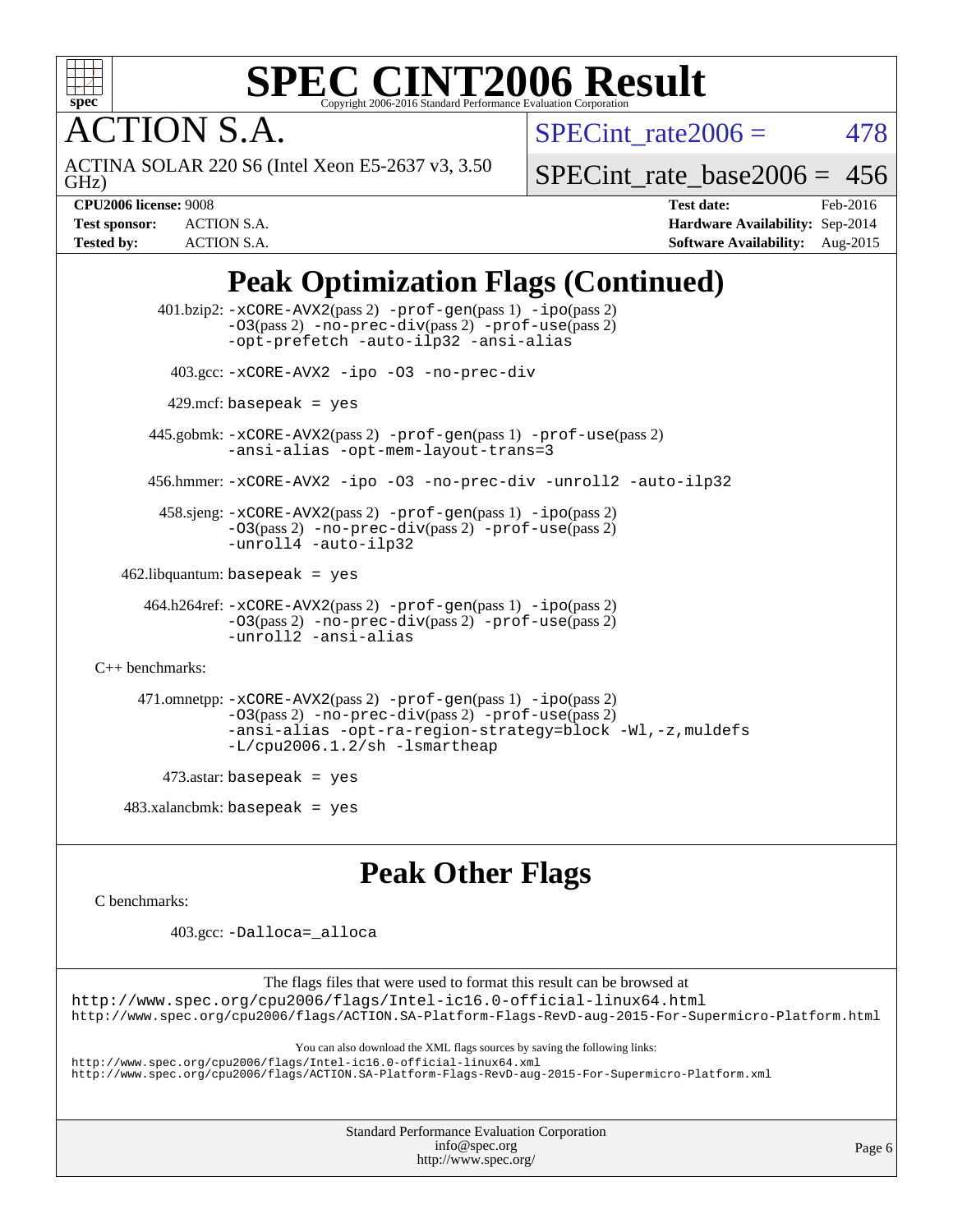

**TION S.A.** 

SPECint rate $2006 = 478$ 

GHz) ACTINA SOLAR 220 S6 (Intel Xeon E5-2637 v3, 3.50

[SPECint\\_rate\\_base2006 =](http://www.spec.org/auto/cpu2006/Docs/result-fields.html#SPECintratebase2006) 456

**[CPU2006 license:](http://www.spec.org/auto/cpu2006/Docs/result-fields.html#CPU2006license)** 9008 **[Test date:](http://www.spec.org/auto/cpu2006/Docs/result-fields.html#Testdate)** Feb-2016 **[Test sponsor:](http://www.spec.org/auto/cpu2006/Docs/result-fields.html#Testsponsor)** ACTION S.A. **[Hardware Availability:](http://www.spec.org/auto/cpu2006/Docs/result-fields.html#HardwareAvailability)** Sep-2014 **[Tested by:](http://www.spec.org/auto/cpu2006/Docs/result-fields.html#Testedby)** ACTION S.A. **[Software Availability:](http://www.spec.org/auto/cpu2006/Docs/result-fields.html#SoftwareAvailability)** Aug-2015

## **[Peak Optimization Flags \(Continued\)](http://www.spec.org/auto/cpu2006/Docs/result-fields.html#PeakOptimizationFlags)**

 401.bzip2: [-xCORE-AVX2](http://www.spec.org/cpu2006/results/res2016q1/cpu2006-20160215-39018.flags.html#user_peakPASS2_CFLAGSPASS2_LDCFLAGS401_bzip2_f-xAVX2_5f5fc0cbe2c9f62c816d3e45806c70d7)(pass 2) [-prof-gen](http://www.spec.org/cpu2006/results/res2016q1/cpu2006-20160215-39018.flags.html#user_peakPASS1_CFLAGSPASS1_LDCFLAGS401_bzip2_prof_gen_e43856698f6ca7b7e442dfd80e94a8fc)(pass 1) [-ipo](http://www.spec.org/cpu2006/results/res2016q1/cpu2006-20160215-39018.flags.html#user_peakPASS2_CFLAGSPASS2_LDCFLAGS401_bzip2_f-ipo)(pass 2) [-O3](http://www.spec.org/cpu2006/results/res2016q1/cpu2006-20160215-39018.flags.html#user_peakPASS2_CFLAGSPASS2_LDCFLAGS401_bzip2_f-O3)(pass 2) [-no-prec-div](http://www.spec.org/cpu2006/results/res2016q1/cpu2006-20160215-39018.flags.html#user_peakPASS2_CFLAGSPASS2_LDCFLAGS401_bzip2_f-no-prec-div)(pass 2) [-prof-use](http://www.spec.org/cpu2006/results/res2016q1/cpu2006-20160215-39018.flags.html#user_peakPASS2_CFLAGSPASS2_LDCFLAGS401_bzip2_prof_use_bccf7792157ff70d64e32fe3e1250b55)(pass 2) [-opt-prefetch](http://www.spec.org/cpu2006/results/res2016q1/cpu2006-20160215-39018.flags.html#user_peakCOPTIMIZE401_bzip2_f-opt-prefetch) [-auto-ilp32](http://www.spec.org/cpu2006/results/res2016q1/cpu2006-20160215-39018.flags.html#user_peakCOPTIMIZE401_bzip2_f-auto-ilp32) [-ansi-alias](http://www.spec.org/cpu2006/results/res2016q1/cpu2006-20160215-39018.flags.html#user_peakCOPTIMIZE401_bzip2_f-ansi-alias) 403.gcc: [-xCORE-AVX2](http://www.spec.org/cpu2006/results/res2016q1/cpu2006-20160215-39018.flags.html#user_peakCOPTIMIZE403_gcc_f-xAVX2_5f5fc0cbe2c9f62c816d3e45806c70d7) [-ipo](http://www.spec.org/cpu2006/results/res2016q1/cpu2006-20160215-39018.flags.html#user_peakCOPTIMIZE403_gcc_f-ipo) [-O3](http://www.spec.org/cpu2006/results/res2016q1/cpu2006-20160215-39018.flags.html#user_peakCOPTIMIZE403_gcc_f-O3) [-no-prec-div](http://www.spec.org/cpu2006/results/res2016q1/cpu2006-20160215-39018.flags.html#user_peakCOPTIMIZE403_gcc_f-no-prec-div)  $429$ .mcf: basepeak = yes 445.gobmk: [-xCORE-AVX2](http://www.spec.org/cpu2006/results/res2016q1/cpu2006-20160215-39018.flags.html#user_peakPASS2_CFLAGSPASS2_LDCFLAGS445_gobmk_f-xAVX2_5f5fc0cbe2c9f62c816d3e45806c70d7)(pass 2) [-prof-gen](http://www.spec.org/cpu2006/results/res2016q1/cpu2006-20160215-39018.flags.html#user_peakPASS1_CFLAGSPASS1_LDCFLAGS445_gobmk_prof_gen_e43856698f6ca7b7e442dfd80e94a8fc)(pass 1) [-prof-use](http://www.spec.org/cpu2006/results/res2016q1/cpu2006-20160215-39018.flags.html#user_peakPASS2_CFLAGSPASS2_LDCFLAGS445_gobmk_prof_use_bccf7792157ff70d64e32fe3e1250b55)(pass 2) [-ansi-alias](http://www.spec.org/cpu2006/results/res2016q1/cpu2006-20160215-39018.flags.html#user_peakCOPTIMIZE445_gobmk_f-ansi-alias) [-opt-mem-layout-trans=3](http://www.spec.org/cpu2006/results/res2016q1/cpu2006-20160215-39018.flags.html#user_peakCOPTIMIZE445_gobmk_f-opt-mem-layout-trans_a7b82ad4bd7abf52556d4961a2ae94d5) 456.hmmer: [-xCORE-AVX2](http://www.spec.org/cpu2006/results/res2016q1/cpu2006-20160215-39018.flags.html#user_peakCOPTIMIZE456_hmmer_f-xAVX2_5f5fc0cbe2c9f62c816d3e45806c70d7) [-ipo](http://www.spec.org/cpu2006/results/res2016q1/cpu2006-20160215-39018.flags.html#user_peakCOPTIMIZE456_hmmer_f-ipo) [-O3](http://www.spec.org/cpu2006/results/res2016q1/cpu2006-20160215-39018.flags.html#user_peakCOPTIMIZE456_hmmer_f-O3) [-no-prec-div](http://www.spec.org/cpu2006/results/res2016q1/cpu2006-20160215-39018.flags.html#user_peakCOPTIMIZE456_hmmer_f-no-prec-div) [-unroll2](http://www.spec.org/cpu2006/results/res2016q1/cpu2006-20160215-39018.flags.html#user_peakCOPTIMIZE456_hmmer_f-unroll_784dae83bebfb236979b41d2422d7ec2) [-auto-ilp32](http://www.spec.org/cpu2006/results/res2016q1/cpu2006-20160215-39018.flags.html#user_peakCOPTIMIZE456_hmmer_f-auto-ilp32) 458.sjeng: [-xCORE-AVX2](http://www.spec.org/cpu2006/results/res2016q1/cpu2006-20160215-39018.flags.html#user_peakPASS2_CFLAGSPASS2_LDCFLAGS458_sjeng_f-xAVX2_5f5fc0cbe2c9f62c816d3e45806c70d7)(pass 2) [-prof-gen](http://www.spec.org/cpu2006/results/res2016q1/cpu2006-20160215-39018.flags.html#user_peakPASS1_CFLAGSPASS1_LDCFLAGS458_sjeng_prof_gen_e43856698f6ca7b7e442dfd80e94a8fc)(pass 1) [-ipo](http://www.spec.org/cpu2006/results/res2016q1/cpu2006-20160215-39018.flags.html#user_peakPASS2_CFLAGSPASS2_LDCFLAGS458_sjeng_f-ipo)(pass 2) [-O3](http://www.spec.org/cpu2006/results/res2016q1/cpu2006-20160215-39018.flags.html#user_peakPASS2_CFLAGSPASS2_LDCFLAGS458_sjeng_f-O3)(pass 2) [-no-prec-div](http://www.spec.org/cpu2006/results/res2016q1/cpu2006-20160215-39018.flags.html#user_peakPASS2_CFLAGSPASS2_LDCFLAGS458_sjeng_f-no-prec-div)(pass 2) [-prof-use](http://www.spec.org/cpu2006/results/res2016q1/cpu2006-20160215-39018.flags.html#user_peakPASS2_CFLAGSPASS2_LDCFLAGS458_sjeng_prof_use_bccf7792157ff70d64e32fe3e1250b55)(pass 2) [-unroll4](http://www.spec.org/cpu2006/results/res2016q1/cpu2006-20160215-39018.flags.html#user_peakCOPTIMIZE458_sjeng_f-unroll_4e5e4ed65b7fd20bdcd365bec371b81f) [-auto-ilp32](http://www.spec.org/cpu2006/results/res2016q1/cpu2006-20160215-39018.flags.html#user_peakCOPTIMIZE458_sjeng_f-auto-ilp32)  $462$ .libquantum: basepeak = yes 464.h264ref: [-xCORE-AVX2](http://www.spec.org/cpu2006/results/res2016q1/cpu2006-20160215-39018.flags.html#user_peakPASS2_CFLAGSPASS2_LDCFLAGS464_h264ref_f-xAVX2_5f5fc0cbe2c9f62c816d3e45806c70d7)(pass 2) [-prof-gen](http://www.spec.org/cpu2006/results/res2016q1/cpu2006-20160215-39018.flags.html#user_peakPASS1_CFLAGSPASS1_LDCFLAGS464_h264ref_prof_gen_e43856698f6ca7b7e442dfd80e94a8fc)(pass 1) [-ipo](http://www.spec.org/cpu2006/results/res2016q1/cpu2006-20160215-39018.flags.html#user_peakPASS2_CFLAGSPASS2_LDCFLAGS464_h264ref_f-ipo)(pass 2) [-O3](http://www.spec.org/cpu2006/results/res2016q1/cpu2006-20160215-39018.flags.html#user_peakPASS2_CFLAGSPASS2_LDCFLAGS464_h264ref_f-O3)(pass 2) [-no-prec-div](http://www.spec.org/cpu2006/results/res2016q1/cpu2006-20160215-39018.flags.html#user_peakPASS2_CFLAGSPASS2_LDCFLAGS464_h264ref_f-no-prec-div)(pass 2) [-prof-use](http://www.spec.org/cpu2006/results/res2016q1/cpu2006-20160215-39018.flags.html#user_peakPASS2_CFLAGSPASS2_LDCFLAGS464_h264ref_prof_use_bccf7792157ff70d64e32fe3e1250b55)(pass 2) [-unroll2](http://www.spec.org/cpu2006/results/res2016q1/cpu2006-20160215-39018.flags.html#user_peakCOPTIMIZE464_h264ref_f-unroll_784dae83bebfb236979b41d2422d7ec2) [-ansi-alias](http://www.spec.org/cpu2006/results/res2016q1/cpu2006-20160215-39018.flags.html#user_peakCOPTIMIZE464_h264ref_f-ansi-alias) [C++ benchmarks:](http://www.spec.org/auto/cpu2006/Docs/result-fields.html#CXXbenchmarks) 471.omnetpp: [-xCORE-AVX2](http://www.spec.org/cpu2006/results/res2016q1/cpu2006-20160215-39018.flags.html#user_peakPASS2_CXXFLAGSPASS2_LDCXXFLAGS471_omnetpp_f-xAVX2_5f5fc0cbe2c9f62c816d3e45806c70d7)(pass 2) [-prof-gen](http://www.spec.org/cpu2006/results/res2016q1/cpu2006-20160215-39018.flags.html#user_peakPASS1_CXXFLAGSPASS1_LDCXXFLAGS471_omnetpp_prof_gen_e43856698f6ca7b7e442dfd80e94a8fc)(pass 1) [-ipo](http://www.spec.org/cpu2006/results/res2016q1/cpu2006-20160215-39018.flags.html#user_peakPASS2_CXXFLAGSPASS2_LDCXXFLAGS471_omnetpp_f-ipo)(pass 2) [-O3](http://www.spec.org/cpu2006/results/res2016q1/cpu2006-20160215-39018.flags.html#user_peakPASS2_CXXFLAGSPASS2_LDCXXFLAGS471_omnetpp_f-O3)(pass 2) [-no-prec-div](http://www.spec.org/cpu2006/results/res2016q1/cpu2006-20160215-39018.flags.html#user_peakPASS2_CXXFLAGSPASS2_LDCXXFLAGS471_omnetpp_f-no-prec-div)(pass 2) [-prof-use](http://www.spec.org/cpu2006/results/res2016q1/cpu2006-20160215-39018.flags.html#user_peakPASS2_CXXFLAGSPASS2_LDCXXFLAGS471_omnetpp_prof_use_bccf7792157ff70d64e32fe3e1250b55)(pass 2) [-ansi-alias](http://www.spec.org/cpu2006/results/res2016q1/cpu2006-20160215-39018.flags.html#user_peakCXXOPTIMIZE471_omnetpp_f-ansi-alias) [-opt-ra-region-strategy=block](http://www.spec.org/cpu2006/results/res2016q1/cpu2006-20160215-39018.flags.html#user_peakCXXOPTIMIZE471_omnetpp_f-opt-ra-region-strategy_a0a37c372d03933b2a18d4af463c1f69) [-Wl,-z,muldefs](http://www.spec.org/cpu2006/results/res2016q1/cpu2006-20160215-39018.flags.html#user_peakEXTRA_LDFLAGS471_omnetpp_link_force_multiple1_74079c344b956b9658436fd1b6dd3a8a) [-L/cpu2006.1.2/sh -lsmartheap](http://www.spec.org/cpu2006/results/res2016q1/cpu2006-20160215-39018.flags.html#user_peakEXTRA_LIBS471_omnetpp_SmartHeap_bfa5b22c0e716eb2d3a2496ec83a2e29)  $473$ .astar: basepeak = yes  $483.xalanchmk: basepeak = yes$ 

**[Peak Other Flags](http://www.spec.org/auto/cpu2006/Docs/result-fields.html#PeakOtherFlags)**

[C benchmarks](http://www.spec.org/auto/cpu2006/Docs/result-fields.html#Cbenchmarks):

403.gcc: [-Dalloca=\\_alloca](http://www.spec.org/cpu2006/results/res2016q1/cpu2006-20160215-39018.flags.html#b403.gcc_peakEXTRA_CFLAGS_Dalloca_be3056838c12de2578596ca5467af7f3)

The flags files that were used to format this result can be browsed at

<http://www.spec.org/cpu2006/flags/Intel-ic16.0-official-linux64.html> <http://www.spec.org/cpu2006/flags/ACTION.SA-Platform-Flags-RevD-aug-2015-For-Supermicro-Platform.html>

You can also download the XML flags sources by saving the following links:

<http://www.spec.org/cpu2006/flags/Intel-ic16.0-official-linux64.xml> <http://www.spec.org/cpu2006/flags/ACTION.SA-Platform-Flags-RevD-aug-2015-For-Supermicro-Platform.xml>